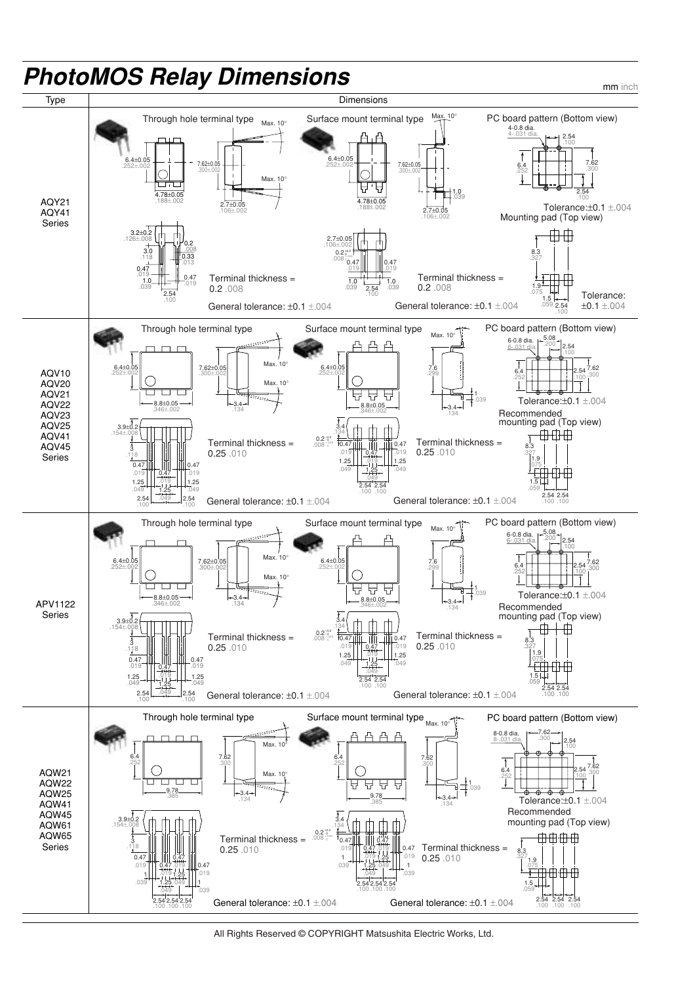

All Rights Reserved © COPYRIGHT Matsushita Electric Works, Ltd.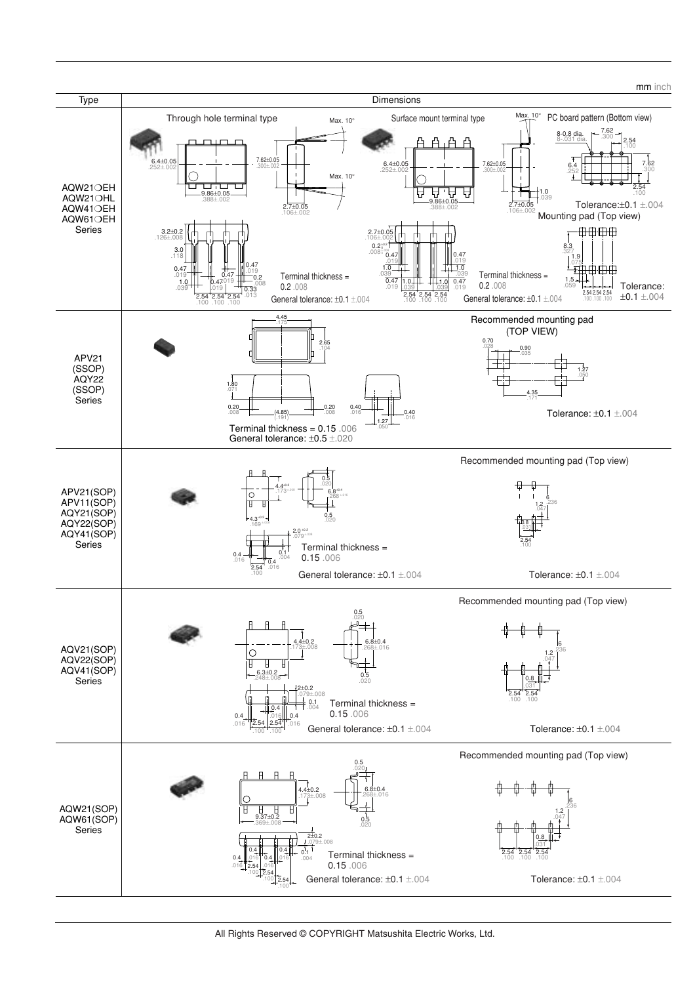